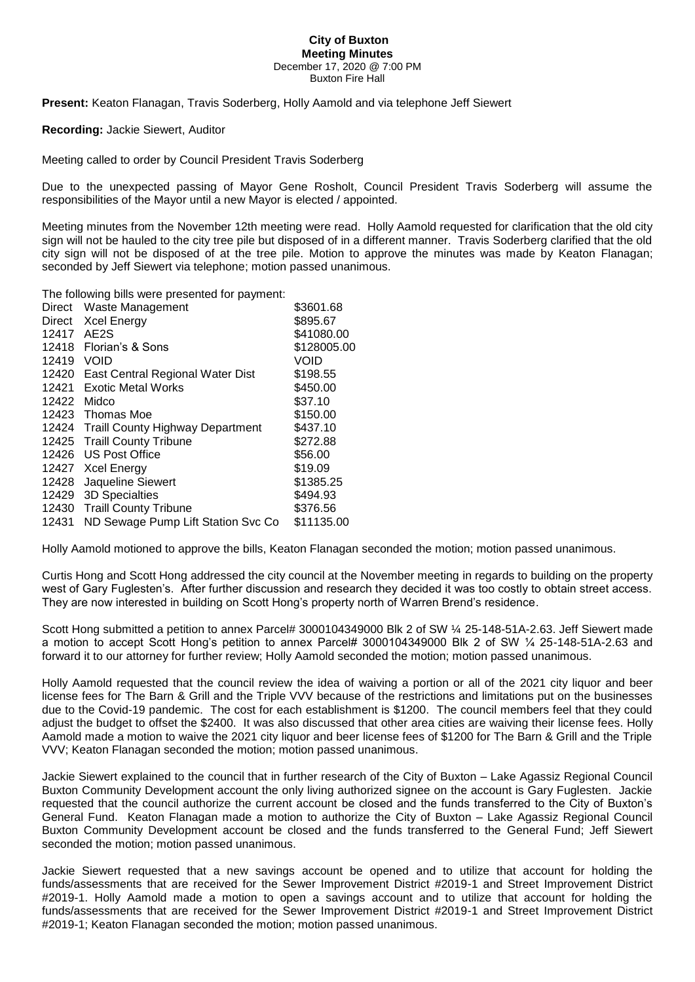## **City of Buxton Meeting Minutes** December 17, 2020 @ 7:00 PM

Buxton Fire Hall

**Present:** Keaton Flanagan, Travis Soderberg, Holly Aamold and via telephone Jeff Siewert

**Recording:** Jackie Siewert, Auditor

Meeting called to order by Council President Travis Soderberg

Due to the unexpected passing of Mayor Gene Rosholt, Council President Travis Soderberg will assume the responsibilities of the Mayor until a new Mayor is elected / appointed.

Meeting minutes from the November 12th meeting were read. Holly Aamold requested for clarification that the old city sign will not be hauled to the city tree pile but disposed of in a different manner. Travis Soderberg clarified that the old city sign will not be disposed of at the tree pile. Motion to approve the minutes was made by Keaton Flanagan; seconded by Jeff Siewert via telephone; motion passed unanimous.

The following bills were presented for payment:

| Direct | Waste Management                        | \$3601.68   |
|--------|-----------------------------------------|-------------|
| Direct | <b>Xcel Energy</b>                      | \$895.67    |
| 12417  | AE <sub>2</sub> S                       | \$41080.00  |
| 12418  | Florian's & Sons                        | \$128005.00 |
| 12419  | VOID                                    | VOID        |
|        | 12420 East Central Regional Water Dist  | \$198.55    |
| 12421  | <b>Exotic Metal Works</b>               | \$450.00    |
| 12422  | Midco                                   | \$37.10     |
| 12423  | Thomas Moe                              | \$150.00    |
| 12424  | <b>Traill County Highway Department</b> | \$437.10    |
|        | 12425 Traill County Tribune             | \$272.88    |
| 12426  | US Post Office                          | \$56.00     |
| 12427  | <b>Xcel Energy</b>                      | \$19.09     |
| 12428  | Jaqueline Siewert                       | \$1385.25   |
| 12429  | 3D Specialties                          | \$494.93    |
| 12430  | <b>Traill County Tribune</b>            | \$376.56    |
| 12431  | ND Sewage Pump Lift Station Svc Co      | \$11135.00  |

Holly Aamold motioned to approve the bills, Keaton Flanagan seconded the motion; motion passed unanimous.

Curtis Hong and Scott Hong addressed the city council at the November meeting in regards to building on the property west of Gary Fuglesten's. After further discussion and research they decided it was too costly to obtain street access. They are now interested in building on Scott Hong's property north of Warren Brend's residence.

Scott Hong submitted a petition to annex Parcel# 3000104349000 Blk 2 of SW ¼ 25-148-51A-2.63. Jeff Siewert made a motion to accept Scott Hong's petition to annex Parcel# 3000104349000 Blk 2 of SW ¼ 25-148-51A-2.63 and forward it to our attorney for further review; Holly Aamold seconded the motion; motion passed unanimous.

Holly Aamold requested that the council review the idea of waiving a portion or all of the 2021 city liquor and beer license fees for The Barn & Grill and the Triple VVV because of the restrictions and limitations put on the businesses due to the Covid-19 pandemic. The cost for each establishment is \$1200. The council members feel that they could adjust the budget to offset the \$2400. It was also discussed that other area cities are waiving their license fees. Holly Aamold made a motion to waive the 2021 city liquor and beer license fees of \$1200 for The Barn & Grill and the Triple VVV; Keaton Flanagan seconded the motion; motion passed unanimous.

Jackie Siewert explained to the council that in further research of the City of Buxton – Lake Agassiz Regional Council Buxton Community Development account the only living authorized signee on the account is Gary Fuglesten. Jackie requested that the council authorize the current account be closed and the funds transferred to the City of Buxton's General Fund. Keaton Flanagan made a motion to authorize the City of Buxton – Lake Agassiz Regional Council Buxton Community Development account be closed and the funds transferred to the General Fund; Jeff Siewert seconded the motion; motion passed unanimous.

Jackie Siewert requested that a new savings account be opened and to utilize that account for holding the funds/assessments that are received for the Sewer Improvement District #2019-1 and Street Improvement District #2019-1. Holly Aamold made a motion to open a savings account and to utilize that account for holding the funds/assessments that are received for the Sewer Improvement District #2019-1 and Street Improvement District #2019-1; Keaton Flanagan seconded the motion; motion passed unanimous.